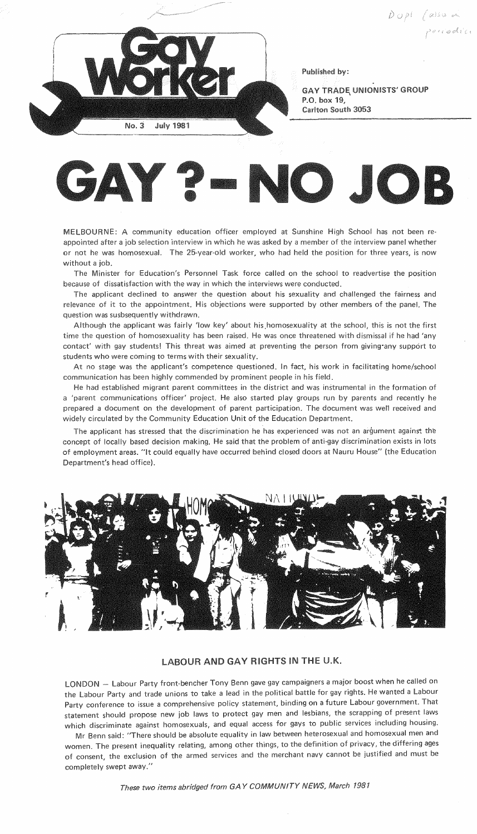

Published

**GAY TRADE UNIONISTS' GROUP** P.O. box 19. Carlton South 3053



MELBOURNE: A community education officer employed at Sunshine High School has not been reappointed after a job selection interview in which he was asked by a member of the interview panel whether or not he was homosexual. The 25-year-old worker, who had held the position for three years, is now without a job.

The Minister for Education's Personnel Task force called on the school to readvertise the position because of dissatisfaction with the way in which the interviews were conducted.

The applicant declined to answer the question about his sexuality and challenged the fairness and relevance of it to the appointment. His objections were supported by other members of the panel. The question was susbsequently withdrawn.

Although the applicant was fairly 'low key' about his homosexuality at the school, this is not the first time the question of homosexuality has been raised. He was once threatened with dismissal if he had 'any contact' with gay students! This threat was aimed at preventing the person from giving·any support to students who were coming to terms with their sexuality.

At no stage was the applicant's competence questioned. In fact, his work in facilitating home/school communication has been highly commended by prominent people in his field.

He had established migrant parent committees in the district and was instrumental in the formation of a 'parent communications officer' project. He also started play groups run by parents and recently he prepared a document on the development of parent participation. The document was well received and widely circulated by the Community Education Unit of the Education Department.

The applicant has stressed that the discrimination he has experienced was not an argument against the concept of locally based decision making. He said that the problem of anti-gay discrimination exists in lots of employment areas. "It could equally have occurred behind closed doors at Nauru House" (the Education Department's head office).



## **LABOUR AND GAY RIGHTS IN THE U.K.**

LONDON - Labour Party front-bencher Tony Benn gave gay campaigners a major boost when he called on the Labour Party and trade unions to take a lead in the political battle for gay rights. He wanted a Labour Party conference to issue a comprehensive policy statement, binding on a future Labour government. That statement should propose new job laws to protect gay men and lesbians, the scrapping of present laws which discriminate against homosexuals, and equal access for gays to public services including housing.

Mr Benn said: "There should be absolute equality in law between heterosexual and homosexual men and women. The present inequality relating, among other things, to the definition of privacy, the differing ages of consent, the exclusion of the armed services and the merchant navy cannot be justified and must be completely swept away."

These two items abridged from GAY COMMUNITY NEWS, March 1981